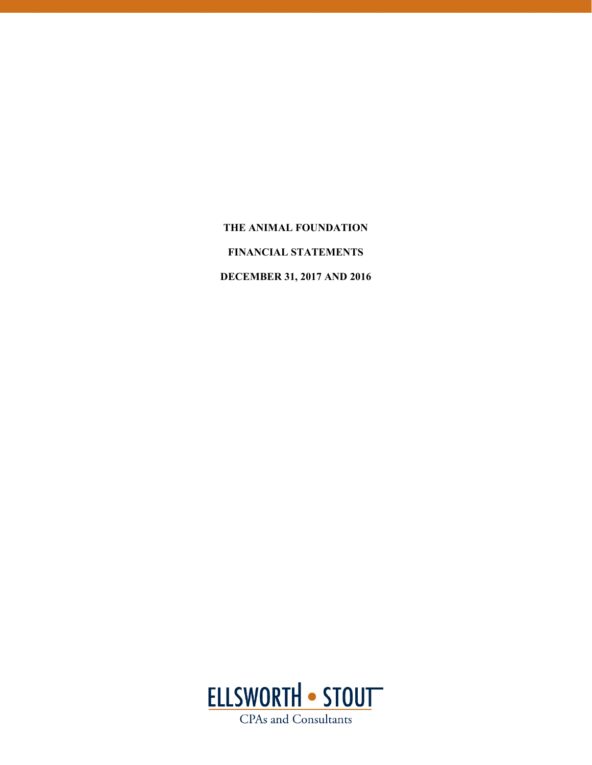**THE ANIMAL FOUNDATION FINANCIAL STATEMENTS DECEMBER 31, 2017 AND 2016** 

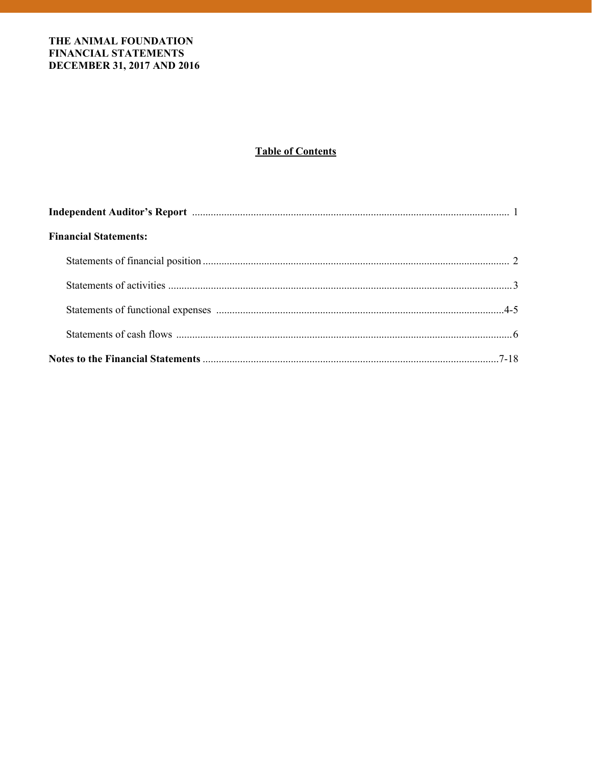# **Table of Contents**

| <b>Financial Statements:</b> |  |
|------------------------------|--|
|                              |  |
|                              |  |
|                              |  |
|                              |  |
|                              |  |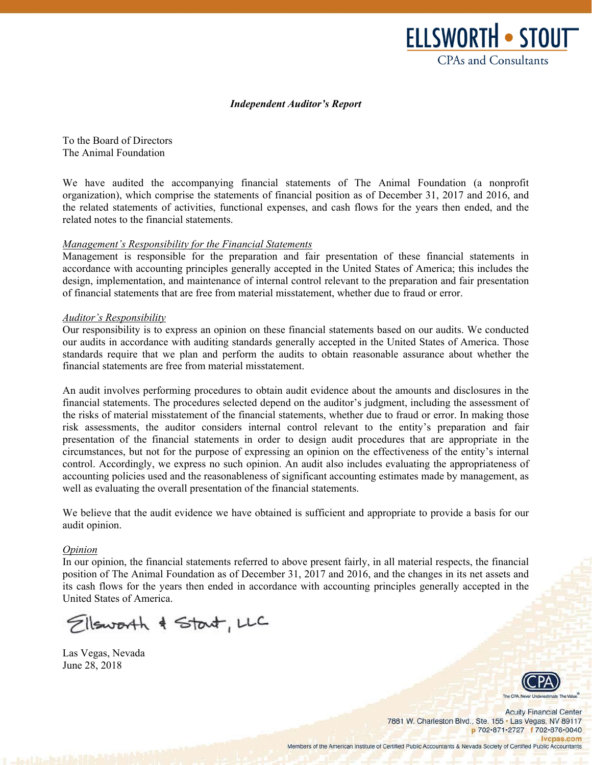

#### *Independent Auditor's Report*

To the Board of Directors The Animal Foundation

We have audited the accompanying financial statements of The Animal Foundation (a nonprofit organization), which comprise the statements of financial position as of December 31, 2017 and 2016, and the related statements of activities, functional expenses, and cash flows for the years then ended, and the related notes to the financial statements.

#### *Management's Responsibility for the Financial Statements*

Management is responsible for the preparation and fair presentation of these financial statements in accordance with accounting principles generally accepted in the United States of America; this includes the design, implementation, and maintenance of internal control relevant to the preparation and fair presentation of financial statements that are free from material misstatement, whether due to fraud or error.

#### *Auditor's Responsibility*

Our responsibility is to express an opinion on these financial statements based on our audits. We conducted our audits in accordance with auditing standards generally accepted in the United States of America. Those standards require that we plan and perform the audits to obtain reasonable assurance about whether the financial statements are free from material misstatement.

An audit involves performing procedures to obtain audit evidence about the amounts and disclosures in the financial statements. The procedures selected depend on the auditor's judgment, including the assessment of the risks of material misstatement of the financial statements, whether due to fraud or error. In making those risk assessments, the auditor considers internal control relevant to the entity's preparation and fair presentation of the financial statements in order to design audit procedures that are appropriate in the circumstances, but not for the purpose of expressing an opinion on the effectiveness of the entity's internal control. Accordingly, we express no such opinion. An audit also includes evaluating the appropriateness of accounting policies used and the reasonableness of significant accounting estimates made by management, as well as evaluating the overall presentation of the financial statements.

We believe that the audit evidence we have obtained is sufficient and appropriate to provide a basis for our audit opinion.

#### *Opinion*

In our opinion, the financial statements referred to above present fairly, in all material respects, the financial position of The Animal Foundation as of December 31, 2017 and 2016, and the changes in its net assets and its cash flows for the years then ended in accordance with accounting principles generally accepted in the United States of America.

Ellsworth & Start, LLC

Las Vegas, Nevada June 28, 2018

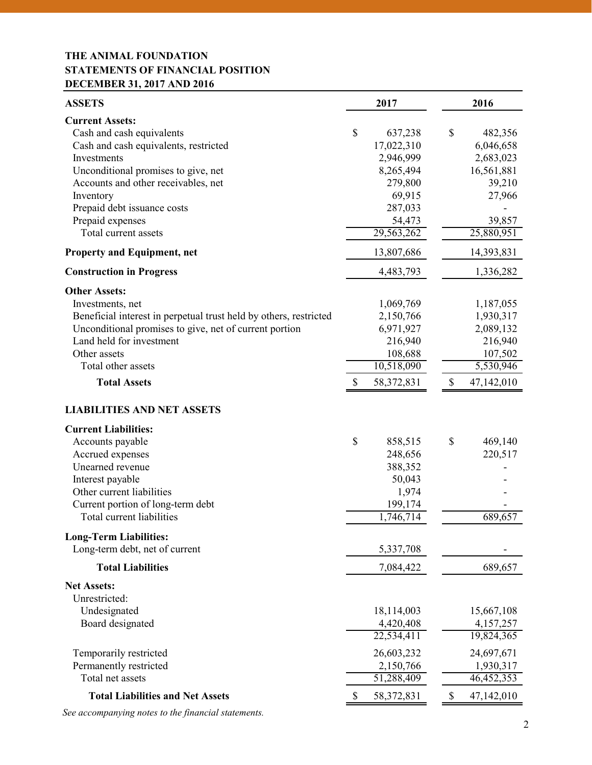# **THE ANIMAL FOUNDATION STATEMENTS OF FINANCIAL POSITION DECEMBER 31, 2017 AND 2016**

| <b>ASSETS</b>                                                                      |              | 2017                           |                           | 2016                   |
|------------------------------------------------------------------------------------|--------------|--------------------------------|---------------------------|------------------------|
| <b>Current Assets:</b><br>Cash and cash equivalents                                | \$           | 637,238                        | \$                        | 482,356                |
| Cash and cash equivalents, restricted<br>Investments                               |              | 17,022,310<br>2,946,999        |                           | 6,046,658<br>2,683,023 |
| Unconditional promises to give, net<br>Accounts and other receivables, net         |              | 8,265,494<br>279,800<br>69,915 |                           | 16,561,881<br>39,210   |
| Inventory<br>Prepaid debt issuance costs<br>Prepaid expenses                       |              | 287,033<br>54,473              |                           | 27,966<br>39,857       |
| Total current assets                                                               |              | 29,563,262                     |                           | 25,880,951             |
| <b>Property and Equipment, net</b>                                                 |              | 13,807,686                     |                           | 14,393,831             |
| <b>Construction in Progress</b>                                                    |              | 4,483,793                      |                           | 1,336,282              |
| <b>Other Assets:</b>                                                               |              |                                |                           |                        |
| Investments, net                                                                   |              | 1,069,769                      |                           | 1,187,055              |
| Beneficial interest in perpetual trust held by others, restricted                  |              | 2,150,766                      |                           | 1,930,317              |
| Unconditional promises to give, net of current portion<br>Land held for investment |              | 6,971,927                      |                           | 2,089,132              |
| Other assets                                                                       |              | 216,940<br>108,688             |                           | 216,940<br>107,502     |
| Total other assets                                                                 |              | 10,518,090                     |                           | 5,530,946              |
|                                                                                    |              |                                |                           |                        |
| <b>Total Assets</b>                                                                | $\mathbb{S}$ | 58,372,831                     | $\boldsymbol{\mathsf{S}}$ | 47,142,010             |
| <b>LIABILITIES AND NET ASSETS</b>                                                  |              |                                |                           |                        |
| <b>Current Liabilities:</b>                                                        |              |                                |                           |                        |
| Accounts payable                                                                   | \$           | 858,515                        | \$                        | 469,140                |
| Accrued expenses                                                                   |              | 248,656                        |                           | 220,517                |
| Unearned revenue                                                                   |              | 388,352                        |                           |                        |
| Interest payable                                                                   |              | 50,043                         |                           |                        |
| Other current liabilities                                                          |              | 1,974                          |                           |                        |
| Current portion of long-term debt<br>Total current liabilities                     |              | 199,174<br>1,746,714           |                           | 689,657                |
|                                                                                    |              |                                |                           |                        |
| <b>Long-Term Liabilities:</b><br>Long-term debt, net of current                    |              | 5,337,708                      |                           |                        |
| <b>Total Liabilities</b>                                                           |              | 7,084,422                      |                           | 689,657                |
| <b>Net Assets:</b>                                                                 |              |                                |                           |                        |
| Unrestricted:                                                                      |              |                                |                           |                        |
| Undesignated                                                                       |              | 18,114,003                     |                           | 15,667,108             |
| Board designated                                                                   |              | 4,420,408                      |                           | 4,157,257              |
|                                                                                    |              | 22,534,411                     |                           | 19,824,365             |
| Temporarily restricted                                                             |              | 26,603,232                     |                           | 24,697,671             |
| Permanently restricted                                                             |              | 2,150,766                      |                           | 1,930,317              |
| Total net assets                                                                   |              | 51,288,409                     |                           | 46,452,353             |
| <b>Total Liabilities and Net Assets</b>                                            |              | 58, 372, 831                   | \$                        | 47,142,010             |

*See accompanying notes to the financial statements.*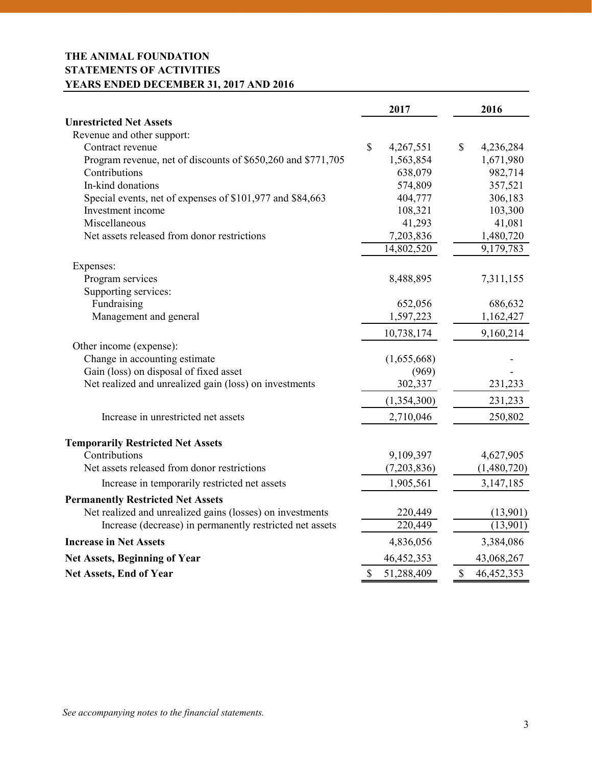# **THE ANIMAL FOUNDATION STATEMENTS OF ACTIVITIES YEARS ENDED DECEMBER 31, 2017 AND 2016**

|                                                              | 2017                 | 2016               |  |
|--------------------------------------------------------------|----------------------|--------------------|--|
| <b>Unrestricted Net Assets</b>                               |                      |                    |  |
| Revenue and other support:                                   |                      |                    |  |
| Contract revenue                                             | \$<br>4,267,551      | \$<br>4,236,284    |  |
| Program revenue, net of discounts of \$650,260 and \$771,705 | 1,563,854            | 1,671,980          |  |
| Contributions                                                | 638,079              | 982,714            |  |
| In-kind donations                                            | 574,809              | 357,521            |  |
| Special events, net of expenses of \$101,977 and \$84,663    | 404,777              | 306,183            |  |
| Investment income                                            | 108,321              | 103,300            |  |
| Miscellaneous                                                | 41,293               | 41,081             |  |
| Net assets released from donor restrictions                  | 7,203,836            | 1,480,720          |  |
|                                                              | 14,802,520           | 9,179,783          |  |
| Expenses:                                                    |                      |                    |  |
| Program services                                             | 8,488,895            | 7,311,155          |  |
| Supporting services:                                         |                      |                    |  |
| Fundraising                                                  | 652,056              | 686,632            |  |
| Management and general                                       | 1,597,223            | 1,162,427          |  |
|                                                              | 10,738,174           | 9,160,214          |  |
| Other income (expense):                                      |                      |                    |  |
| Change in accounting estimate                                | (1,655,668)          |                    |  |
| Gain (loss) on disposal of fixed asset                       | (969)                |                    |  |
| Net realized and unrealized gain (loss) on investments       | 302,337              | 231,233            |  |
|                                                              | (1,354,300)          | 231,233            |  |
| Increase in unrestricted net assets                          | 2,710,046            | 250,802            |  |
| <b>Temporarily Restricted Net Assets</b>                     |                      |                    |  |
| Contributions                                                | 9,109,397            | 4,627,905          |  |
| Net assets released from donor restrictions                  | (7,203,836)          | (1,480,720)        |  |
| Increase in temporarily restricted net assets                | 1,905,561            | 3, 147, 185        |  |
| <b>Permanently Restricted Net Assets</b>                     |                      |                    |  |
| Net realized and unrealized gains (losses) on investments    | 220,449              | (13,901)           |  |
| Increase (decrease) in permanently restricted net assets     | $\overline{220,449}$ | (13,901)           |  |
| <b>Increase in Net Assets</b>                                | 4,836,056            | 3,384,086          |  |
| <b>Net Assets, Beginning of Year</b>                         | 46,452,353           | 43,068,267         |  |
| Net Assets, End of Year                                      | \$<br>51,288,409     | \$<br>46, 452, 353 |  |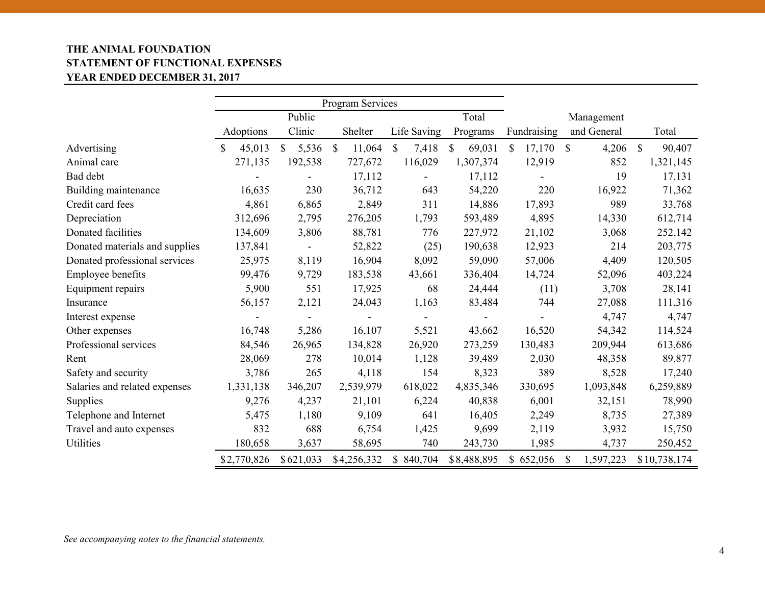# **THE ANIMAL FOUNDATION STATEMENT OF FUNCTIONAL EXPENSES YEAR ENDED DECEMBER 31, 2017**

| Program Services               |    |             |    |           |              |             |               |             |              |             |                 |              |              |
|--------------------------------|----|-------------|----|-----------|--------------|-------------|---------------|-------------|--------------|-------------|-----------------|--------------|--------------|
|                                |    |             |    | Public    |              |             |               | Total       |              |             | Management      |              |              |
|                                |    | Adoptions   |    | Clinic    | Shelter      | Life Saving |               | Programs    |              | Fundraising | and General     |              | Total        |
| Advertising                    | \$ | 45,013      | \$ | 5,536     | \$<br>11,064 | \$<br>7,418 | $\mathcal{S}$ | 69,031      | $\mathbb{S}$ | 17,170      | \$<br>4,206     | $\mathbb{S}$ | 90,407       |
| Animal care                    |    | 271,135     |    | 192,538   | 727,672      | 116,029     |               | 1,307,374   |              | 12,919      | 852             |              | 1,321,145    |
| Bad debt                       |    |             |    |           | 17,112       |             |               | 17,112      |              |             | 19              |              | 17,131       |
| Building maintenance           |    | 16,635      |    | 230       | 36,712       | 643         |               | 54,220      |              | 220         | 16,922          |              | 71,362       |
| Credit card fees               |    | 4,861       |    | 6,865     | 2,849        | 311         |               | 14,886      |              | 17,893      | 989             |              | 33,768       |
| Depreciation                   |    | 312,696     |    | 2,795     | 276,205      | 1,793       |               | 593,489     |              | 4,895       | 14,330          |              | 612,714      |
| Donated facilities             |    | 134,609     |    | 3,806     | 88,781       | 776         |               | 227,972     |              | 21,102      | 3,068           |              | 252,142      |
| Donated materials and supplies |    | 137,841     |    |           | 52,822       | (25)        |               | 190,638     |              | 12,923      | 214             |              | 203,775      |
| Donated professional services  |    | 25,975      |    | 8,119     | 16,904       | 8,092       |               | 59,090      |              | 57,006      | 4,409           |              | 120,505      |
| <b>Employee benefits</b>       |    | 99,476      |    | 9,729     | 183,538      | 43,661      |               | 336,404     |              | 14,724      | 52,096          |              | 403,224      |
| Equipment repairs              |    | 5,900       |    | 551       | 17,925       | 68          |               | 24,444      |              | (11)        | 3,708           |              | 28,141       |
| Insurance                      |    | 56,157      |    | 2,121     | 24,043       | 1,163       |               | 83,484      |              | 744         | 27,088          |              | 111,316      |
| Interest expense               |    |             |    |           |              |             |               |             |              |             | 4,747           |              | 4,747        |
| Other expenses                 |    | 16,748      |    | 5,286     | 16,107       | 5,521       |               | 43,662      |              | 16,520      | 54,342          |              | 114,524      |
| Professional services          |    | 84,546      |    | 26,965    | 134,828      | 26,920      |               | 273,259     |              | 130,483     | 209,944         |              | 613,686      |
| Rent                           |    | 28,069      |    | 278       | 10,014       | 1,128       |               | 39,489      |              | 2,030       | 48,358          |              | 89,877       |
| Safety and security            |    | 3,786       |    | 265       | 4,118        | 154         |               | 8,323       |              | 389         | 8,528           |              | 17,240       |
| Salaries and related expenses  |    | 1,331,138   |    | 346,207   | 2,539,979    | 618,022     |               | 4,835,346   |              | 330,695     | 1,093,848       |              | 6,259,889    |
| <b>Supplies</b>                |    | 9,276       |    | 4,237     | 21,101       | 6,224       |               | 40,838      |              | 6,001       | 32,151          |              | 78,990       |
| Telephone and Internet         |    | 5,475       |    | 1,180     | 9,109        | 641         |               | 16,405      |              | 2,249       | 8,735           |              | 27,389       |
| Travel and auto expenses       |    | 832         |    | 688       | 6,754        | 1,425       |               | 9,699       |              | 2,119       | 3,932           |              | 15,750       |
| Utilities                      |    | 180,658     |    | 3,637     | 58,695       | 740         |               | 243,730     |              | 1,985       | 4,737           |              | 250,452      |
|                                |    | \$2,770,826 |    | \$621,033 | \$4,256,332  | \$840,704   |               | \$8,488,895 |              | \$652,056   | \$<br>1,597,223 |              | \$10,738,174 |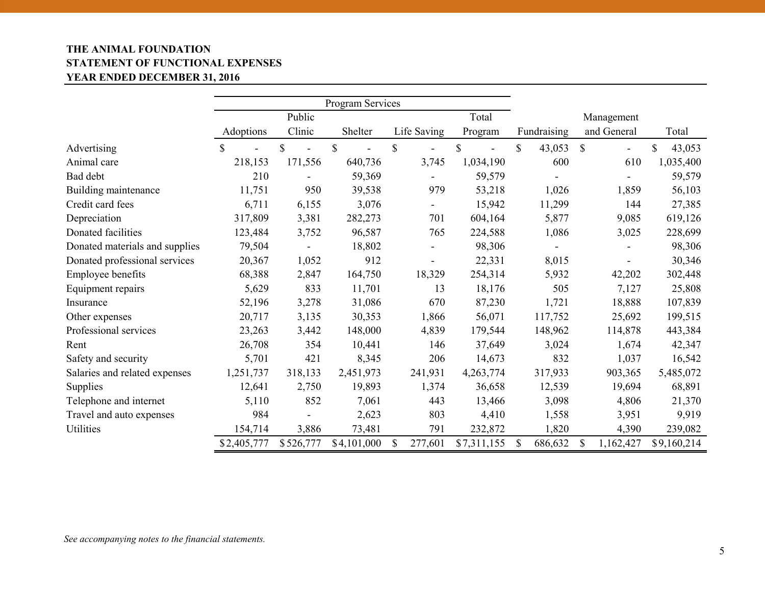# **THE ANIMAL FOUNDATION STATEMENT OF FUNCTIONAL EXPENSES YEAR ENDED DECEMBER 31, 2016**

|                                |             |           | Program Services |                |             |    |             |             |            |                         |
|--------------------------------|-------------|-----------|------------------|----------------|-------------|----|-------------|-------------|------------|-------------------------|
|                                |             | Public    |                  |                | Total       |    |             |             | Management |                         |
|                                | Adoptions   | Clinic    | Shelter          | Life Saving    | Program     |    | Fundraising | and General |            | Total                   |
| Advertising                    | \$          | \$        | \$               | \$             | \$          | \$ | 43,053      | \$          |            | $\mathcal{S}$<br>43,053 |
| Animal care                    | 218,153     | 171,556   | 640,736          | 3,745          | 1,034,190   |    | 600         |             | 610        | 1,035,400               |
| Bad debt                       | 210         |           | 59,369           |                | 59,579      |    |             |             |            | 59,579                  |
| Building maintenance           | 11,751      | 950       | 39,538           | 979            | 53,218      |    | 1,026       |             | 1,859      | 56,103                  |
| Credit card fees               | 6,711       | 6,155     | 3,076            | $\blacksquare$ | 15,942      |    | 11,299      |             | 144        | 27,385                  |
| Depreciation                   | 317,809     | 3,381     | 282,273          | 701            | 604,164     |    | 5,877       |             | 9,085      | 619,126                 |
| Donated facilities             | 123,484     | 3,752     | 96,587           | 765            | 224,588     |    | 1,086       |             | 3,025      | 228,699                 |
| Donated materials and supplies | 79,504      |           | 18,802           |                | 98,306      |    |             |             |            | 98,306                  |
| Donated professional services  | 20,367      | 1,052     | 912              |                | 22,331      |    | 8,015       |             |            | 30,346                  |
| Employee benefits              | 68,388      | 2,847     | 164,750          | 18,329         | 254,314     |    | 5,932       |             | 42,202     | 302,448                 |
| Equipment repairs              | 5,629       | 833       | 11,701           | 13             | 18,176      |    | 505         |             | 7,127      | 25,808                  |
| Insurance                      | 52,196      | 3,278     | 31,086           | 670            | 87,230      |    | 1,721       |             | 18,888     | 107,839                 |
| Other expenses                 | 20,717      | 3,135     | 30,353           | 1,866          | 56,071      |    | 117,752     |             | 25,692     | 199,515                 |
| Professional services          | 23,263      | 3,442     | 148,000          | 4,839          | 179,544     |    | 148,962     |             | 114,878    | 443,384                 |
| Rent                           | 26,708      | 354       | 10,441           | 146            | 37,649      |    | 3,024       |             | 1,674      | 42,347                  |
| Safety and security            | 5,701       | 421       | 8,345            | 206            | 14,673      |    | 832         |             | 1,037      | 16,542                  |
| Salaries and related expenses  | 1,251,737   | 318,133   | 2,451,973        | 241,931        | 4,263,774   |    | 317,933     |             | 903,365    | 5,485,072               |
| Supplies                       | 12,641      | 2,750     | 19,893           | 1,374          | 36,658      |    | 12,539      |             | 19,694     | 68,891                  |
| Telephone and internet         | 5,110       | 852       | 7,061            | 443            | 13,466      |    | 3,098       |             | 4,806      | 21,370                  |
| Travel and auto expenses       | 984         |           | 2,623            | 803            | 4,410       |    | 1,558       |             | 3,951      | 9,919                   |
| Utilities                      | 154,714     | 3,886     | 73,481           | 791            | 232,872     |    | 1,820       |             | 4,390      | 239,082                 |
|                                | \$2,405,777 | \$526,777 | \$4,101,000      | \$<br>277,601  | \$7,311,155 | \$ | 686,632     | \$          | 1,162,427  | \$9,160,214             |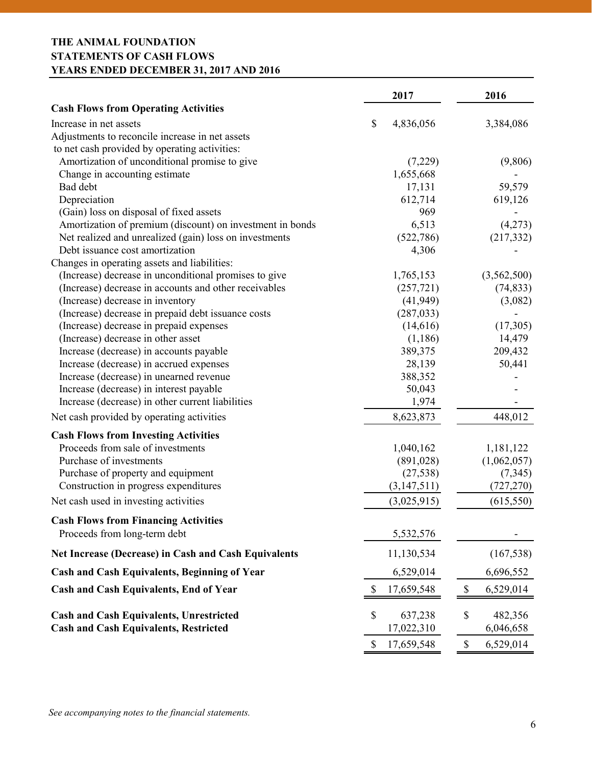# **THE ANIMAL FOUNDATION STATEMENTS OF CASH FLOWS YEARS ENDED DECEMBER 31, 2017 AND 2016**

|                                                           | 2017             | 2016                                   |
|-----------------------------------------------------------|------------------|----------------------------------------|
| <b>Cash Flows from Operating Activities</b>               |                  |                                        |
| Increase in net assets                                    | \$<br>4,836,056  | 3,384,086                              |
| Adjustments to reconcile increase in net assets           |                  |                                        |
| to net cash provided by operating activities:             |                  |                                        |
| Amortization of unconditional promise to give             | (7,229)          | (9,806)                                |
| Change in accounting estimate                             | 1,655,668        |                                        |
| Bad debt                                                  | 17,131           | 59,579                                 |
| Depreciation                                              | 612,714          | 619,126                                |
| (Gain) loss on disposal of fixed assets                   | 969              |                                        |
| Amortization of premium (discount) on investment in bonds | 6,513            | (4,273)                                |
| Net realized and unrealized (gain) loss on investments    | (522, 786)       | (217, 332)                             |
| Debt issuance cost amortization                           | 4,306            |                                        |
| Changes in operating assets and liabilities:              |                  |                                        |
| (Increase) decrease in unconditional promises to give     | 1,765,153        | (3,562,500)                            |
| (Increase) decrease in accounts and other receivables     | (257, 721)       | (74, 833)                              |
| (Increase) decrease in inventory                          | (41, 949)        | (3,082)                                |
| (Increase) decrease in prepaid debt issuance costs        | (287, 033)       |                                        |
| (Increase) decrease in prepaid expenses                   | (14, 616)        | (17,305)                               |
| (Increase) decrease in other asset                        | (1,186)          | 14,479                                 |
| Increase (decrease) in accounts payable                   | 389,375          | 209,432                                |
| Increase (decrease) in accrued expenses                   | 28,139           | 50,441                                 |
| Increase (decrease) in unearned revenue                   | 388,352          |                                        |
| Increase (decrease) in interest payable                   | 50,043           |                                        |
| Increase (decrease) in other current liabilities          | 1,974            |                                        |
| Net cash provided by operating activities                 | 8,623,873        | 448,012                                |
| <b>Cash Flows from Investing Activities</b>               |                  |                                        |
| Proceeds from sale of investments                         | 1,040,162        | 1,181,122                              |
| Purchase of investments                                   | (891, 028)       | (1,062,057)                            |
| Purchase of property and equipment                        | (27, 538)        | (7,345)                                |
| Construction in progress expenditures                     | (3,147,511)      | (727, 270)                             |
| Net cash used in investing activities                     | (3,025,915)      | (615, 550)                             |
| <b>Cash Flows from Financing Activities</b>               |                  |                                        |
| Proceeds from long-term debt                              | 5,532,576        |                                        |
|                                                           |                  |                                        |
| Net Increase (Decrease) in Cash and Cash Equivalents      | 11,130,534       | (167, 538)                             |
| <b>Cash and Cash Equivalents, Beginning of Year</b>       | 6,529,014        | 6,696,552                              |
| <b>Cash and Cash Equivalents, End of Year</b>             | \$<br>17,659,548 | $\boldsymbol{\mathsf{S}}$<br>6,529,014 |
| <b>Cash and Cash Equivalents, Unrestricted</b>            | \$<br>637,238    | \$<br>482,356                          |
| <b>Cash and Cash Equivalents, Restricted</b>              | 17,022,310       | 6,046,658                              |
|                                                           | \$<br>17,659,548 | \$<br>6,529,014                        |
|                                                           |                  |                                        |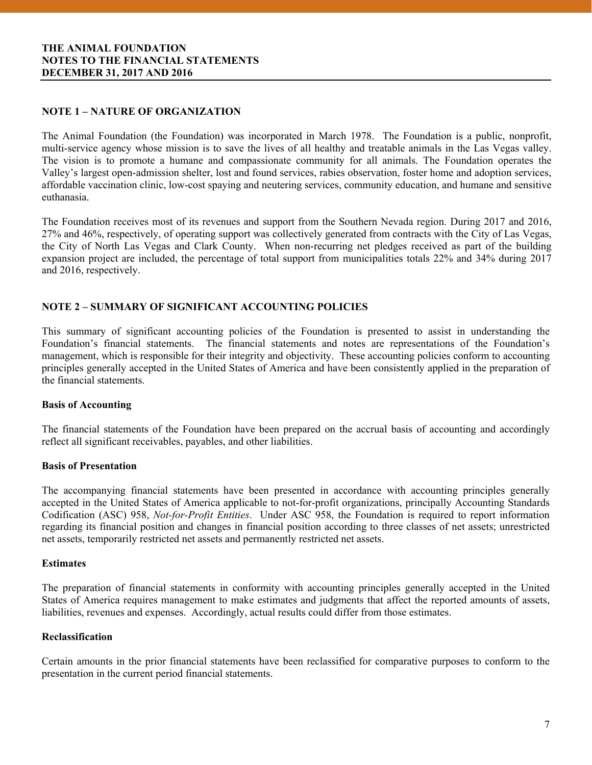# **NOTE 1 – NATURE OF ORGANIZATION**

The Animal Foundation (the Foundation) was incorporated in March 1978. The Foundation is a public, nonprofit, multi-service agency whose mission is to save the lives of all healthy and treatable animals in the Las Vegas valley. The vision is to promote a humane and compassionate community for all animals. The Foundation operates the Valley's largest open-admission shelter, lost and found services, rabies observation, foster home and adoption services, affordable vaccination clinic, low-cost spaying and neutering services, community education, and humane and sensitive euthanasia.

The Foundation receives most of its revenues and support from the Southern Nevada region. During 2017 and 2016, 27% and 46%, respectively, of operating support was collectively generated from contracts with the City of Las Vegas, the City of North Las Vegas and Clark County. When non-recurring net pledges received as part of the building expansion project are included, the percentage of total support from municipalities totals 22% and 34% during 2017 and 2016, respectively.

### **NOTE 2 – SUMMARY OF SIGNIFICANT ACCOUNTING POLICIES**

This summary of significant accounting policies of the Foundation is presented to assist in understanding the Foundation's financial statements. The financial statements and notes are representations of the Foundation's management, which is responsible for their integrity and objectivity. These accounting policies conform to accounting principles generally accepted in the United States of America and have been consistently applied in the preparation of the financial statements.

### **Basis of Accounting**

The financial statements of the Foundation have been prepared on the accrual basis of accounting and accordingly reflect all significant receivables, payables, and other liabilities.

### **Basis of Presentation**

The accompanying financial statements have been presented in accordance with accounting principles generally accepted in the United States of America applicable to not-for-profit organizations, principally Accounting Standards Codification (ASC) 958, *Not-for-Profit Entities*. Under ASC 958, the Foundation is required to report information regarding its financial position and changes in financial position according to three classes of net assets; unrestricted net assets, temporarily restricted net assets and permanently restricted net assets.

#### **Estimates**

 The preparation of financial statements in conformity with accounting principles generally accepted in the United States of America requires management to make estimates and judgments that affect the reported amounts of assets, liabilities, revenues and expenses. Accordingly, actual results could differ from those estimates.

#### **Reclassification**

Certain amounts in the prior financial statements have been reclassified for comparative purposes to conform to the presentation in the current period financial statements.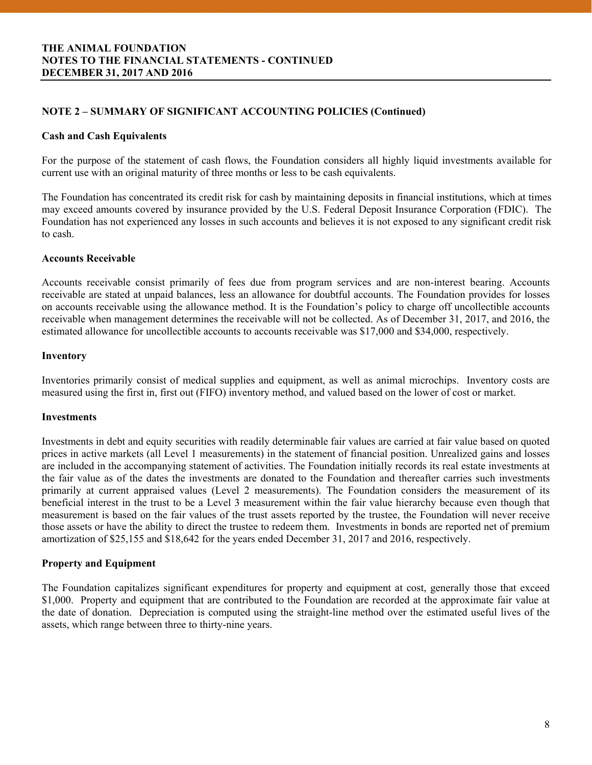#### **Cash and Cash Equivalents**

For the purpose of the statement of cash flows, the Foundation considers all highly liquid investments available for current use with an original maturity of three months or less to be cash equivalents.

The Foundation has concentrated its credit risk for cash by maintaining deposits in financial institutions, which at times may exceed amounts covered by insurance provided by the U.S. Federal Deposit Insurance Corporation (FDIC). The Foundation has not experienced any losses in such accounts and believes it is not exposed to any significant credit risk to cash.

#### **Accounts Receivable**

Accounts receivable consist primarily of fees due from program services and are non-interest bearing. Accounts receivable are stated at unpaid balances, less an allowance for doubtful accounts. The Foundation provides for losses on accounts receivable using the allowance method. It is the Foundation's policy to charge off uncollectible accounts receivable when management determines the receivable will not be collected. As of December 31, 2017, and 2016, the estimated allowance for uncollectible accounts to accounts receivable was \$17,000 and \$34,000, respectively.

# **Inventory**

Inventories primarily consist of medical supplies and equipment, as well as animal microchips. Inventory costs are measured using the first in, first out (FIFO) inventory method, and valued based on the lower of cost or market.

## **Investments**

Investments in debt and equity securities with readily determinable fair values are carried at fair value based on quoted prices in active markets (all Level 1 measurements) in the statement of financial position. Unrealized gains and losses are included in the accompanying statement of activities. The Foundation initially records its real estate investments at the fair value as of the dates the investments are donated to the Foundation and thereafter carries such investments primarily at current appraised values (Level 2 measurements). The Foundation considers the measurement of its beneficial interest in the trust to be a Level 3 measurement within the fair value hierarchy because even though that measurement is based on the fair values of the trust assets reported by the trustee, the Foundation will never receive those assets or have the ability to direct the trustee to redeem them. Investments in bonds are reported net of premium amortization of \$25,155 and \$18,642 for the years ended December 31, 2017 and 2016, respectively.

### **Property and Equipment**

 The Foundation capitalizes significant expenditures for property and equipment at cost, generally those that exceed \$1,000. Property and equipment that are contributed to the Foundation are recorded at the approximate fair value at the date of donation. Depreciation is computed using the straight-line method over the estimated useful lives of the assets, which range between three to thirty-nine years.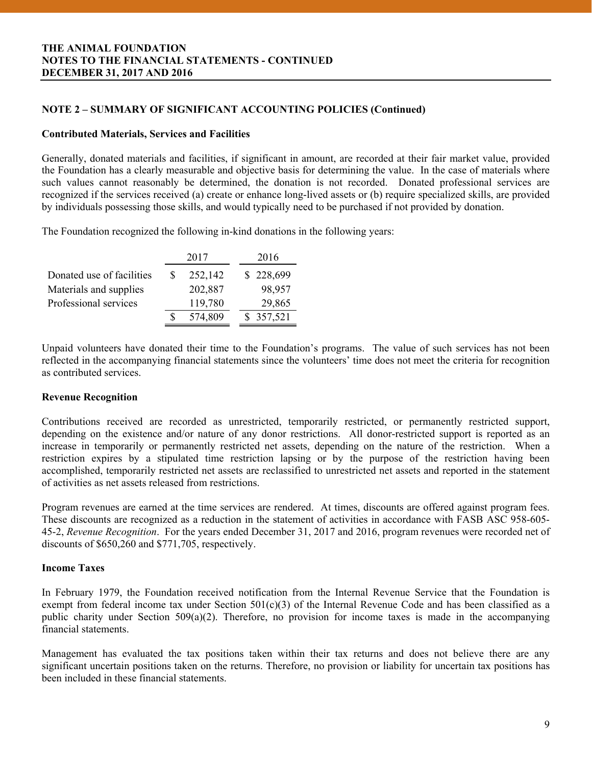#### **Contributed Materials, Services and Facilities**

Generally, donated materials and facilities, if significant in amount, are recorded at their fair market value, provided the Foundation has a clearly measurable and objective basis for determining the value. In the case of materials where such values cannot reasonably be determined, the donation is not recorded. Donated professional services are recognized if the services received (a) create or enhance long-lived assets or (b) require specialized skills, are provided by individuals possessing those skills, and would typically need to be purchased if not provided by donation.

The Foundation recognized the following in-kind donations in the following years:

|                           | 2017    | 2016      |
|---------------------------|---------|-----------|
| Donated use of facilities | 252,142 | \$228,699 |
| Materials and supplies    | 202,887 | 98,957    |
| Professional services     | 119,780 | 29,865    |
|                           | 574,809 | \$357,521 |

Unpaid volunteers have donated their time to the Foundation's programs. The value of such services has not been reflected in the accompanying financial statements since the volunteers' time does not meet the criteria for recognition as contributed services.

### **Revenue Recognition**

Contributions received are recorded as unrestricted, temporarily restricted, or permanently restricted support, depending on the existence and/or nature of any donor restrictions. All donor-restricted support is reported as an increase in temporarily or permanently restricted net assets, depending on the nature of the restriction. When a restriction expires by a stipulated time restriction lapsing or by the purpose of the restriction having been accomplished, temporarily restricted net assets are reclassified to unrestricted net assets and reported in the statement of activities as net assets released from restrictions.

Program revenues are earned at the time services are rendered. At times, discounts are offered against program fees. These discounts are recognized as a reduction in the statement of activities in accordance with FASB ASC 958-605- 45-2, *Revenue Recognition*. For the years ended December 31, 2017 and 2016, program revenues were recorded net of discounts of \$650,260 and \$771,705, respectively.

### **Income Taxes**

 In February 1979, the Foundation received notification from the Internal Revenue Service that the Foundation is exempt from federal income tax under Section 501(c)(3) of the Internal Revenue Code and has been classified as a public charity under Section 509(a)(2). Therefore, no provision for income taxes is made in the accompanying financial statements.

Management has evaluated the tax positions taken within their tax returns and does not believe there are any significant uncertain positions taken on the returns. Therefore, no provision or liability for uncertain tax positions has been included in these financial statements.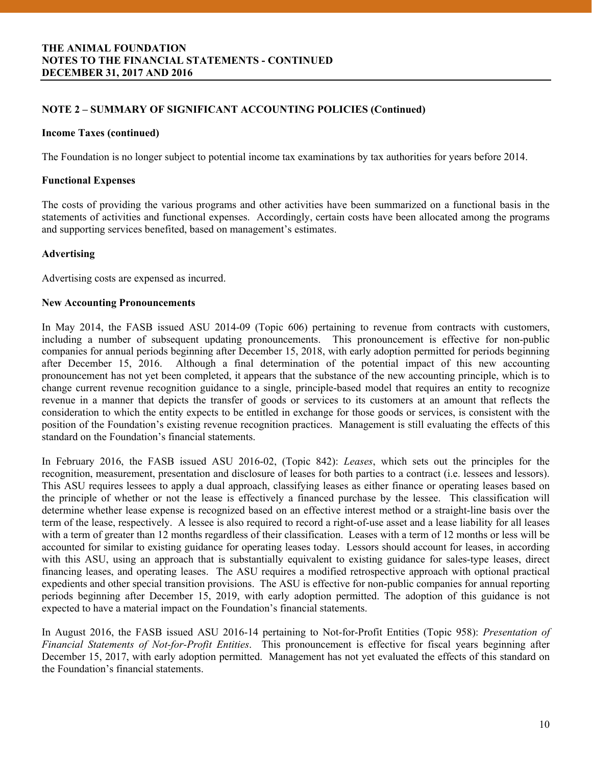## **Income Taxes (continued)**

The Foundation is no longer subject to potential income tax examinations by tax authorities for years before 2014.

#### **Functional Expenses**

The costs of providing the various programs and other activities have been summarized on a functional basis in the statements of activities and functional expenses. Accordingly, certain costs have been allocated among the programs and supporting services benefited, based on management's estimates.

#### **Advertising**

Advertising costs are expensed as incurred.

### **New Accounting Pronouncements**

In May 2014, the FASB issued ASU 2014-09 (Topic 606) pertaining to revenue from contracts with customers, including a number of subsequent updating pronouncements. This pronouncement is effective for non-public companies for annual periods beginning after December 15, 2018, with early adoption permitted for periods beginning after December 15, 2016. Although a final determination of the potential impact of this new accounting pronouncement has not yet been completed, it appears that the substance of the new accounting principle, which is to change current revenue recognition guidance to a single, principle-based model that requires an entity to recognize revenue in a manner that depicts the transfer of goods or services to its customers at an amount that reflects the consideration to which the entity expects to be entitled in exchange for those goods or services, is consistent with the position of the Foundation's existing revenue recognition practices. Management is still evaluating the effects of this standard on the Foundation's financial statements.

 periods beginning after December 15, 2019, with early adoption permitted. The adoption of this guidance is not In February 2016, the FASB issued ASU 2016-02, (Topic 842): *Leases*, which sets out the principles for the recognition, measurement, presentation and disclosure of leases for both parties to a contract (i.e. lessees and lessors). This ASU requires lessees to apply a dual approach, classifying leases as either finance or operating leases based on the principle of whether or not the lease is effectively a financed purchase by the lessee. This classification will determine whether lease expense is recognized based on an effective interest method or a straight-line basis over the term of the lease, respectively. A lessee is also required to record a right-of-use asset and a lease liability for all leases with a term of greater than 12 months regardless of their classification. Leases with a term of 12 months or less will be accounted for similar to existing guidance for operating leases today. Lessors should account for leases, in according with this ASU, using an approach that is substantially equivalent to existing guidance for sales-type leases, direct financing leases, and operating leases. The ASU requires a modified retrospective approach with optional practical expedients and other special transition provisions. The ASU is effective for non-public companies for annual reporting expected to have a material impact on the Foundation's financial statements.

In August 2016, the FASB issued ASU 2016-14 pertaining to Not-for-Profit Entities (Topic 958): *Presentation of Financial Statements of Not-for-Profit Entities*. This pronouncement is effective for fiscal years beginning after December 15, 2017, with early adoption permitted. Management has not yet evaluated the effects of this standard on the Foundation's financial statements.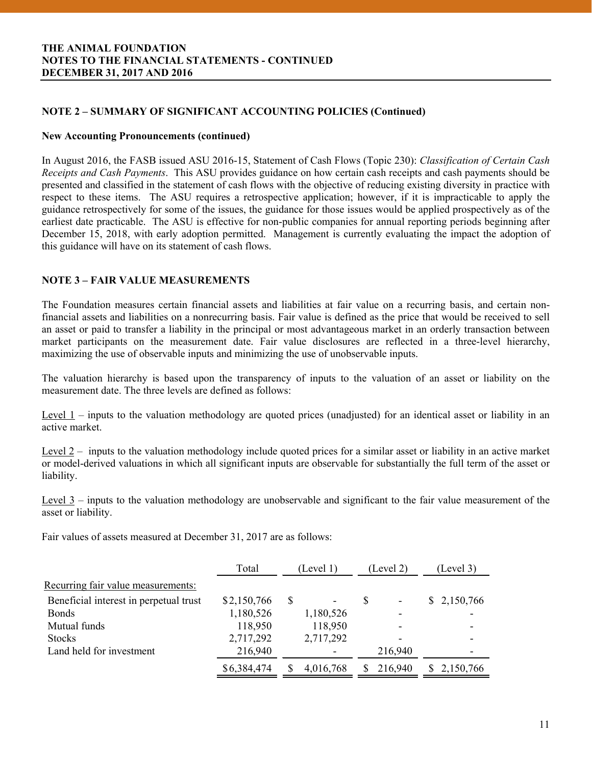#### **New Accounting Pronouncements (continued)**

In August 2016, the FASB issued ASU 2016-15, Statement of Cash Flows (Topic 230): *Classification of Certain Cash Receipts and Cash Payments*. This ASU provides guidance on how certain cash receipts and cash payments should be presented and classified in the statement of cash flows with the objective of reducing existing diversity in practice with respect to these items. The ASU requires a retrospective application; however, if it is impracticable to apply the guidance retrospectively for some of the issues, the guidance for those issues would be applied prospectively as of the earliest date practicable. The ASU is effective for non-public companies for annual reporting periods beginning after December 15, 2018, with early adoption permitted. Management is currently evaluating the impact the adoption of this guidance will have on its statement of cash flows.

### **NOTE 3 – FAIR VALUE MEASUREMENTS**

The Foundation measures certain financial assets and liabilities at fair value on a recurring basis, and certain nonfinancial assets and liabilities on a nonrecurring basis. Fair value is defined as the price that would be received to sell an asset or paid to transfer a liability in the principal or most advantageous market in an orderly transaction between market participants on the measurement date. Fair value disclosures are reflected in a three-level hierarchy, maximizing the use of observable inputs and minimizing the use of unobservable inputs.

The valuation hierarchy is based upon the transparency of inputs to the valuation of an asset or liability on the measurement date. The three levels are defined as follows:

Level 1 – inputs to the valuation methodology are quoted prices (unadjusted) for an identical asset or liability in an active market.

Level 2 – inputs to the valuation methodology include quoted prices for a similar asset or liability in an active market or model-derived valuations in which all significant inputs are observable for substantially the full term of the asset or liability.

Level 3 – inputs to the valuation methodology are unobservable and significant to the fair value measurement of the asset or liability.

Fair values of assets measured at December 31, 2017 are as follows:

|                                        | Total       | (Level 1) |                          | (Level 2)                | (Level 3)   |
|----------------------------------------|-------------|-----------|--------------------------|--------------------------|-------------|
| Recurring fair value measurements:     |             |           |                          |                          |             |
| Beneficial interest in perpetual trust | \$2,150,766 |           | $\overline{\phantom{a}}$ | $\overline{\phantom{a}}$ | \$2,150,766 |
| <b>Bonds</b>                           | 1,180,526   |           | 1,180,526                | ٠                        |             |
| Mutual funds                           | 118,950     |           | 118,950                  |                          |             |
| <b>Stocks</b>                          | 2,717,292   |           | 2,717,292                | $\overline{\phantom{0}}$ |             |
| Land held for investment               | 216,940     |           | $\overline{\phantom{a}}$ | 216,940                  |             |
|                                        | \$6,384,474 |           | 4,016,768                | 216,940                  | 2,150,766   |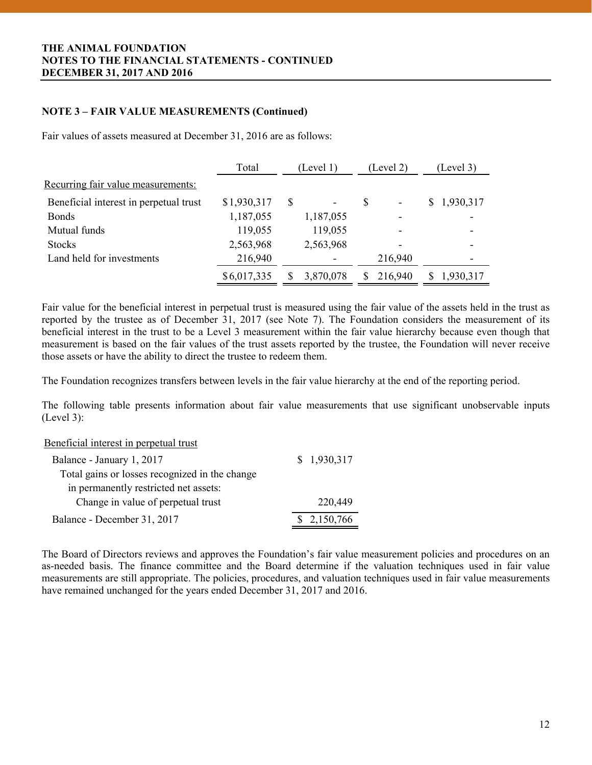# **NOTE 3 – FAIR VALUE MEASUREMENTS (Continued)**

Fair values of assets measured at December 31, 2016 are as follows:

|                                        | Total       | (Level 1)                                | (Level 2)                | (Level 3)      |
|----------------------------------------|-------------|------------------------------------------|--------------------------|----------------|
| Recurring fair value measurements:     |             |                                          |                          |                |
| Beneficial interest in perpetual trust | \$1,930,317 | <sup>S</sup><br>$\overline{\phantom{a}}$ | S<br>٠                   | 1,930,317<br>S |
| <b>Bonds</b>                           | 1,187,055   | 1,187,055                                | $\overline{\phantom{0}}$ |                |
| Mutual funds                           | 119,055     | 119,055                                  |                          |                |
| <b>Stocks</b>                          | 2,563,968   | 2,563,968                                |                          |                |
| Land held for investments              | 216,940     | $\overline{\phantom{a}}$                 | 216,940                  |                |
|                                        | \$6,017,335 | 3,870,078                                | 216,940                  | 1,930,317      |

Fair value for the beneficial interest in perpetual trust is measured using the fair value of the assets held in the trust as reported by the trustee as of December 31, 2017 (see Note 7). The Foundation considers the measurement of its beneficial interest in the trust to be a Level 3 measurement within the fair value hierarchy because even though that measurement is based on the fair values of the trust assets reported by the trustee, the Foundation will never receive those assets or have the ability to direct the trustee to redeem them.

The Foundation recognizes transfers between levels in the fair value hierarchy at the end of the reporting period.

The following table presents information about fair value measurements that use significant unobservable inputs (Level 3):

| Beneficial interest in perpetual trust         |             |
|------------------------------------------------|-------------|
| Balance - January 1, 2017                      | \$1,930,317 |
| Total gains or losses recognized in the change |             |
| in permanently restricted net assets:          |             |
| Change in value of perpetual trust             | 220,449     |
| Balance - December 31, 2017                    | \$2,150,766 |

 have remained unchanged for the years ended December 31, 2017 and 2016. The Board of Directors reviews and approves the Foundation's fair value measurement policies and procedures on an as-needed basis. The finance committee and the Board determine if the valuation techniques used in fair value measurements are still appropriate. The policies, procedures, and valuation techniques used in fair value measurements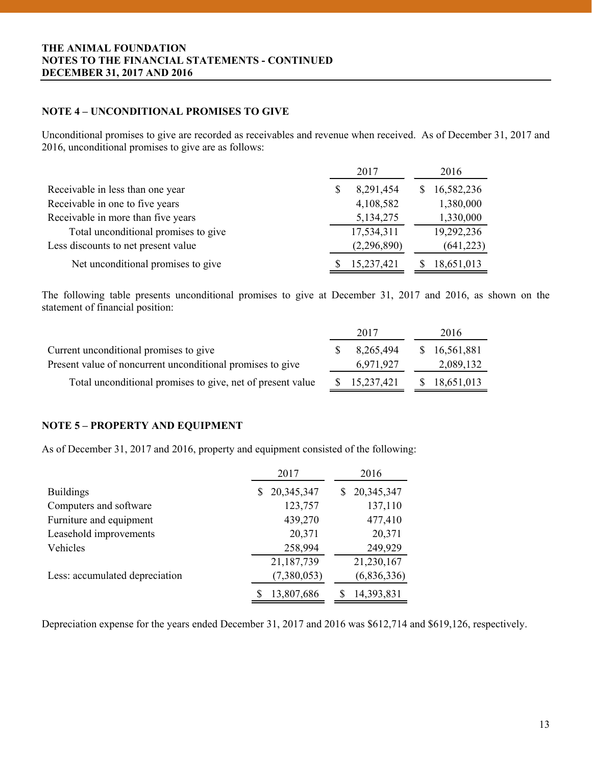# **NOTE 4 – UNCONDITIONAL PROMISES TO GIVE**

Unconditional promises to give are recorded as receivables and revenue when received. As of December 31, 2017 and 2016, unconditional promises to give are as follows:

|                                      | 2017        | 2016       |
|--------------------------------------|-------------|------------|
| Receivable in less than one year     | 8,291,454   | 16,582,236 |
| Receivable in one to five years      | 4,108,582   | 1,380,000  |
| Receivable in more than five years   | 5, 134, 275 | 1,330,000  |
| Total unconditional promises to give | 17,534,311  | 19,292,236 |
| Less discounts to net present value  | (2,296,890) | (641, 223) |
| Net unconditional promises to give   | 15,237,421  | 18,651,013 |

The following table presents unconditional promises to give at December 31, 2017 and 2016, as shown on the statement of financial position:

|                                                            | 2017       | 2016         |
|------------------------------------------------------------|------------|--------------|
| Current unconditional promises to give                     | 8,265,494  | \$16,561,881 |
| Present value of noncurrent unconditional promises to give | 6,971,927  | 2,089,132    |
| Total unconditional promises to give, net of present value | 15,237,421 | 18,651,013   |

# **NOTE 5 – PROPERTY AND EQUIPMENT**

As of December 31, 2017 and 2016, property and equipment consisted of the following:

|                                | 2017             | 2016             |
|--------------------------------|------------------|------------------|
| <b>Buildings</b>               | 20,345,347<br>S. | 20,345,347<br>S. |
| Computers and software         | 123,757          | 137,110          |
| Furniture and equipment        | 439,270          | 477,410          |
| Leasehold improvements         | 20,371           | 20,371           |
| Vehicles                       | 258,994          | 249,929          |
|                                | 21,187,739       | 21,230,167       |
| Less: accumulated depreciation | (7,380,053)      | (6,836,336)      |
|                                | 13,807,686       | 14,393,831       |

Depreciation expense for the years ended December 31, 2017 and 2016 was \$612,714 and \$619,126, respectively.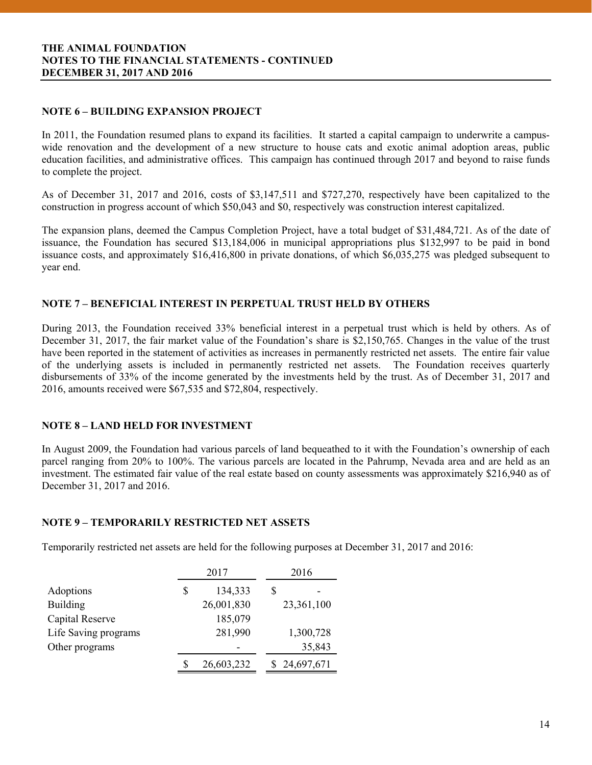# **NOTE 6 – BUILDING EXPANSION PROJECT**

In 2011, the Foundation resumed plans to expand its facilities. It started a capital campaign to underwrite a campuswide renovation and the development of a new structure to house cats and exotic animal adoption areas, public education facilities, and administrative offices. This campaign has continued through 2017 and beyond to raise funds to complete the project.

As of December 31, 2017 and 2016, costs of \$3,147,511 and \$727,270, respectively have been capitalized to the construction in progress account of which \$50,043 and \$0, respectively was construction interest capitalized.

The expansion plans, deemed the Campus Completion Project, have a total budget of \$31,484,721. As of the date of issuance, the Foundation has secured \$13,184,006 in municipal appropriations plus \$132,997 to be paid in bond issuance costs, and approximately \$16,416,800 in private donations, of which \$6,035,275 was pledged subsequent to year end.

# **NOTE 7 – BENEFICIAL INTEREST IN PERPETUAL TRUST HELD BY OTHERS**

During 2013, the Foundation received 33% beneficial interest in a perpetual trust which is held by others. As of December 31, 2017, the fair market value of the Foundation's share is \$2,150,765. Changes in the value of the trust have been reported in the statement of activities as increases in permanently restricted net assets. The entire fair value of the underlying assets is included in permanently restricted net assets. The Foundation receives quarterly disbursements of 33% of the income generated by the investments held by the trust. As of December 31, 2017 and 2016, amounts received were \$67,535 and \$72,804, respectively.

### **NOTE 8 – LAND HELD FOR INVESTMENT**

In August 2009, the Foundation had various parcels of land bequeathed to it with the Foundation's ownership of each parcel ranging from 20% to 100%. The various parcels are located in the Pahrump, Nevada area and are held as an investment. The estimated fair value of the real estate based on county assessments was approximately \$216,940 as of December 31, 2017 and 2016.

### **NOTE 9 – TEMPORARILY RESTRICTED NET ASSETS**

Temporarily restricted net assets are held for the following purposes at December 31, 2017 and 2016:

|                      | 2017          |   | 2016       |
|----------------------|---------------|---|------------|
| Adoptions            | \$<br>134,333 | S |            |
| <b>Building</b>      | 26,001,830    |   | 23,361,100 |
| Capital Reserve      | 185,079       |   |            |
| Life Saving programs | 281,990       |   | 1,300,728  |
| Other programs       |               |   | 35,843     |
|                      | 26,603,232    |   | 24,697,671 |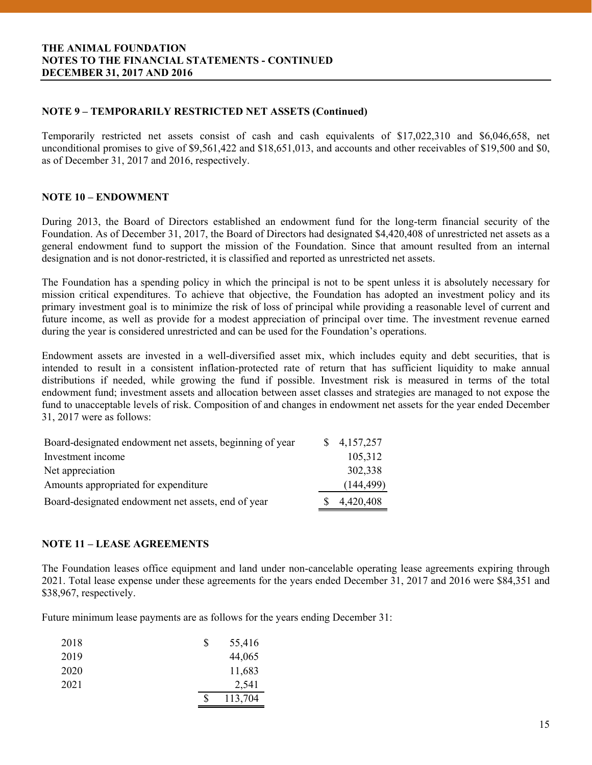# **NOTE 9 – TEMPORARILY RESTRICTED NET ASSETS (Continued)**

Temporarily restricted net assets consist of cash and cash equivalents of \$17,022,310 and \$6,046,658, net unconditional promises to give of \$9,561,422 and \$18,651,013, and accounts and other receivables of \$19,500 and \$0, as of December 31, 2017 and 2016, respectively.

#### **NOTE 10 – ENDOWMENT**

During 2013, the Board of Directors established an endowment fund for the long-term financial security of the Foundation. As of December 31, 2017, the Board of Directors had designated \$4,420,408 of unrestricted net assets as a general endowment fund to support the mission of the Foundation. Since that amount resulted from an internal designation and is not donor-restricted, it is classified and reported as unrestricted net assets.

The Foundation has a spending policy in which the principal is not to be spent unless it is absolutely necessary for mission critical expenditures. To achieve that objective, the Foundation has adopted an investment policy and its primary investment goal is to minimize the risk of loss of principal while providing a reasonable level of current and future income, as well as provide for a modest appreciation of principal over time. The investment revenue earned during the year is considered unrestricted and can be used for the Foundation's operations.

Endowment assets are invested in a well-diversified asset mix, which includes equity and debt securities, that is intended to result in a consistent inflation-protected rate of return that has sufficient liquidity to make annual distributions if needed, while growing the fund if possible. Investment risk is measured in terms of the total endowment fund; investment assets and allocation between asset classes and strategies are managed to not expose the fund to unacceptable levels of risk. Composition of and changes in endowment net assets for the year ended December 31, 2017 were as follows:

| Board-designated endowment net assets, beginning of year | $\frac{1}{2}$ 4,157,257 |
|----------------------------------------------------------|-------------------------|
| Investment income                                        | 105,312                 |
| Net appreciation                                         | 302,338                 |
| Amounts appropriated for expenditure                     | (144, 499)              |
| Board-designated endowment net assets, end of year       | 4,420,408               |

#### **NOTE 11 – LEASE AGREEMENTS**

 $\frac{338,967}{\text{respecitively}}$ . The Foundation leases office equipment and land under non-cancelable operating lease agreements expiring through 2021. Total lease expense under these agreements for the years ended December 31, 2017 and 2016 were \$84,351 and

Future minimum lease payments are as follows for the years ending December 31:

| 2018 | S  | 55,416  |
|------|----|---------|
| 2019 |    | 44,065  |
| 2020 |    | 11,683  |
| 2021 |    | 2,541   |
|      | \$ | 113,704 |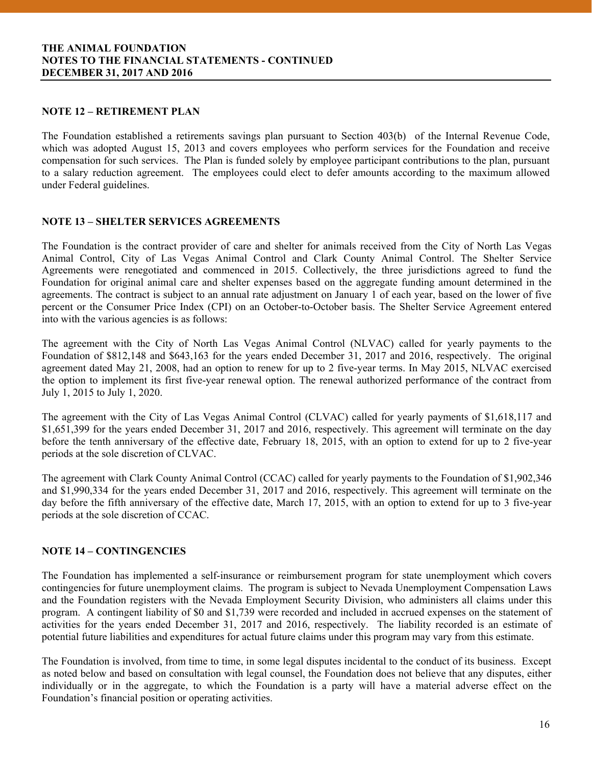# **NOTE 12 – RETIREMENT PLAN**

The Foundation established a retirements savings plan pursuant to Section 403(b) of the Internal Revenue Code, which was adopted August 15, 2013 and covers employees who perform services for the Foundation and receive compensation for such services. The Plan is funded solely by employee participant contributions to the plan, pursuant to a salary reduction agreement. The employees could elect to defer amounts according to the maximum allowed under Federal guidelines.

### **NOTE 13 – SHELTER SERVICES AGREEMENTS**

The Foundation is the contract provider of care and shelter for animals received from the City of North Las Vegas Animal Control, City of Las Vegas Animal Control and Clark County Animal Control. The Shelter Service Agreements were renegotiated and commenced in 2015. Collectively, the three jurisdictions agreed to fund the Foundation for original animal care and shelter expenses based on the aggregate funding amount determined in the agreements. The contract is subject to an annual rate adjustment on January 1 of each year, based on the lower of five percent or the Consumer Price Index (CPI) on an October-to-October basis. The Shelter Service Agreement entered into with the various agencies is as follows:

The agreement with the City of North Las Vegas Animal Control (NLVAC) called for yearly payments to the Foundation of \$812,148 and \$643,163 for the years ended December 31, 2017 and 2016, respectively. The original agreement dated May 21, 2008, had an option to renew for up to 2 five-year terms. In May 2015, NLVAC exercised the option to implement its first five-year renewal option. The renewal authorized performance of the contract from July 1, 2015 to July 1, 2020.

The agreement with the City of Las Vegas Animal Control (CLVAC) called for yearly payments of \$1,618,117 and \$1,651,399 for the years ended December 31, 2017 and 2016, respectively. This agreement will terminate on the day before the tenth anniversary of the effective date, February 18, 2015, with an option to extend for up to 2 five-year periods at the sole discretion of CLVAC.

The agreement with Clark County Animal Control (CCAC) called for yearly payments to the Foundation of \$1,902,346 and \$1,990,334 for the years ended December 31, 2017 and 2016, respectively. This agreement will terminate on the day before the fifth anniversary of the effective date, March 17, 2015, with an option to extend for up to 3 five-year periods at the sole discretion of CCAC.

### **NOTE 14 – CONTINGENCIES**

 contingencies for future unemployment claims. The program is subject to Nevada Unemployment Compensation Laws The Foundation has implemented a self-insurance or reimbursement program for state unemployment which covers and the Foundation registers with the Nevada Employment Security Division, who administers all claims under this program. A contingent liability of \$0 and \$1,739 were recorded and included in accrued expenses on the statement of activities for the years ended December 31, 2017 and 2016, respectively. The liability recorded is an estimate of potential future liabilities and expenditures for actual future claims under this program may vary from this estimate.

The Foundation is involved, from time to time, in some legal disputes incidental to the conduct of its business. Except as noted below and based on consultation with legal counsel, the Foundation does not believe that any disputes, either individually or in the aggregate, to which the Foundation is a party will have a material adverse effect on the Foundation's financial position or operating activities.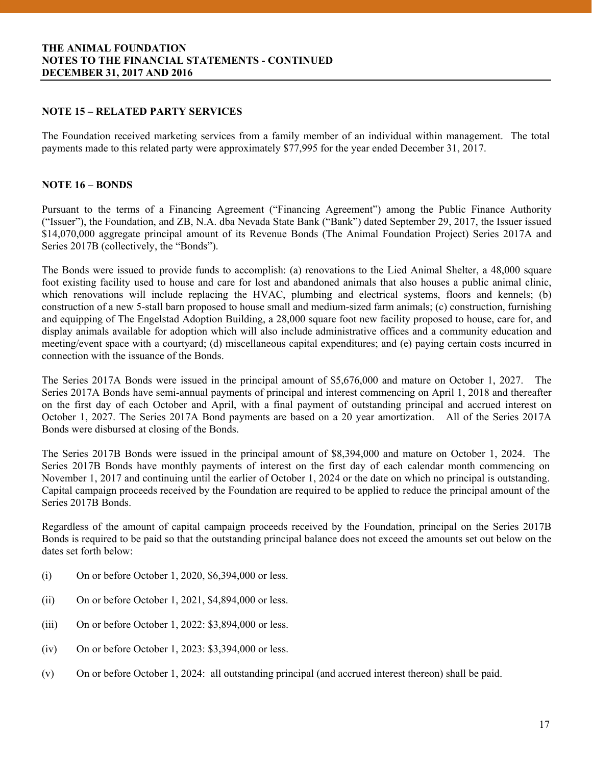# **NOTE 15 – RELATED PARTY SERVICES**

The Foundation received marketing services from a family member of an individual within management. The total payments made to this related party were approximately \$77,995 for the year ended December 31, 2017.

### **NOTE 16 – BONDS**

Pursuant to the terms of a Financing Agreement ("Financing Agreement") among the Public Finance Authority ("Issuer"), the Foundation, and ZB, N.A. dba Nevada State Bank ("Bank") dated September 29, 2017, the Issuer issued \$14,070,000 aggregate principal amount of its Revenue Bonds (The Animal Foundation Project) Series 2017A and Series 2017B (collectively, the "Bonds").

The Bonds were issued to provide funds to accomplish: (a) renovations to the Lied Animal Shelter, a 48,000 square foot existing facility used to house and care for lost and abandoned animals that also houses a public animal clinic, which renovations will include replacing the HVAC, plumbing and electrical systems, floors and kennels; (b) construction of a new 5-stall barn proposed to house small and medium-sized farm animals; (c) construction, furnishing and equipping of The Engelstad Adoption Building, a 28,000 square foot new facility proposed to house, care for, and display animals available for adoption which will also include administrative offices and a community education and meeting/event space with a courtyard; (d) miscellaneous capital expenditures; and (e) paying certain costs incurred in connection with the issuance of the Bonds.

The Series 2017A Bonds were issued in the principal amount of \$5,676,000 and mature on October 1, 2027. The Series 2017A Bonds have semi-annual payments of principal and interest commencing on April 1, 2018 and thereafter on the first day of each October and April, with a final payment of outstanding principal and accrued interest on October 1, 2027. The Series 2017A Bond payments are based on a 20 year amortization. All of the Series 2017A Bonds were disbursed at closing of the Bonds.

The Series 2017B Bonds were issued in the principal amount of \$8,394,000 and mature on October 1, 2024. The Series 2017B Bonds have monthly payments of interest on the first day of each calendar month commencing on November 1, 2017 and continuing until the earlier of October 1, 2024 or the date on which no principal is outstanding. Capital campaign proceeds received by the Foundation are required to be applied to reduce the principal amount of the Series 2017B Bonds.

Regardless of the amount of capital campaign proceeds received by the Foundation, principal on the Series 2017B Bonds is required to be paid so that the outstanding principal balance does not exceed the amounts set out below on the dates set forth below:

- (i) On or before October 1, 2020, \$6,394,000 or less.
- (ii) On or before October 1, 2021, \$4,894,000 or less.
- (iii) On or before October 1, 2022: \$3,894,000 or less.
- (iv) On or before October 1, 2023: \$3,394,000 or less.
- (v) On or before October 1, 2024: all outstanding principal (and accrued interest thereon) shall be paid.